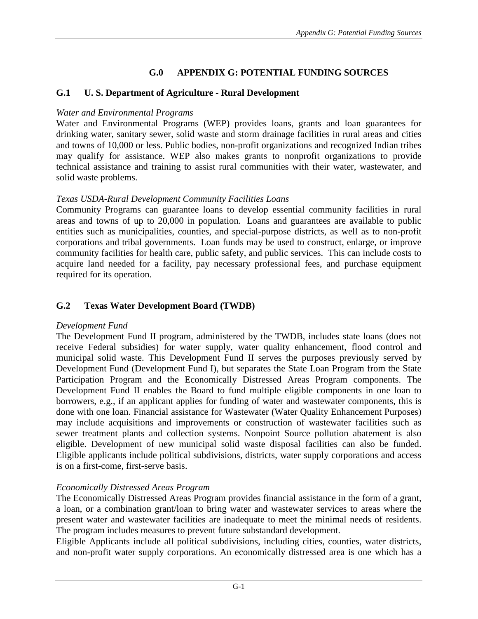# **G.0 APPENDIX G: POTENTIAL FUNDING SOURCES**

### **G.1 U. S. Department of Agriculture - Rural Development**

#### *Water and Environmental Programs*

Water and Environmental Programs (WEP) provides loans, grants and loan guarantees for drinking water, sanitary sewer, solid waste and storm drainage facilities in rural areas and cities and towns of 10,000 or less. Public bodies, non-profit organizations and recognized Indian tribes may qualify for assistance. WEP also makes grants to nonprofit organizations to provide technical assistance and training to assist rural communities with their water, wastewater, and solid waste problems.

#### *Texas USDA-Rural Development Community Facilities Loans*

Community Programs can guarantee loans to develop essential community facilities in rural areas and towns of up to 20,000 in population. Loans and guarantees are available to public entities such as municipalities, counties, and special-purpose districts, as well as to non-profit corporations and tribal governments. Loan funds may be used to construct, enlarge, or improve community facilities for health care, public safety, and public services. This can include costs to acquire land needed for a facility, pay necessary professional fees, and purchase equipment required for its operation.

### **G.2 Texas Water Development Board (TWDB)**

#### *Development Fund*

The Development Fund II program, administered by the TWDB, includes state loans (does not receive Federal subsidies) for water supply, water quality enhancement, flood control and municipal solid waste. This Development Fund II serves the purposes previously served by Development Fund (Development Fund I), but separates the State Loan Program from the State Participation Program and the Economically Distressed Areas Program components. The Development Fund II enables the Board to fund multiple eligible components in one loan to borrowers, e.g., if an applicant applies for funding of water and wastewater components, this is done with one loan. Financial assistance for Wastewater (Water Quality Enhancement Purposes) may include acquisitions and improvements or construction of wastewater facilities such as sewer treatment plants and collection systems. Nonpoint Source pollution abatement is also eligible. Development of new municipal solid waste disposal facilities can also be funded. Eligible applicants include political subdivisions, districts, water supply corporations and access is on a first-come, first-serve basis.

# *Economically Distressed Areas Program*

The Economically Distressed Areas Program provides financial assistance in the form of a grant, a loan, or a combination grant/loan to bring water and wastewater services to areas where the present water and wastewater facilities are inadequate to meet the minimal needs of residents. The program includes measures to prevent future substandard development.

Eligible Applicants include all political subdivisions, including cities, counties, water districts, and non-profit water supply corporations. An economically distressed area is one which has a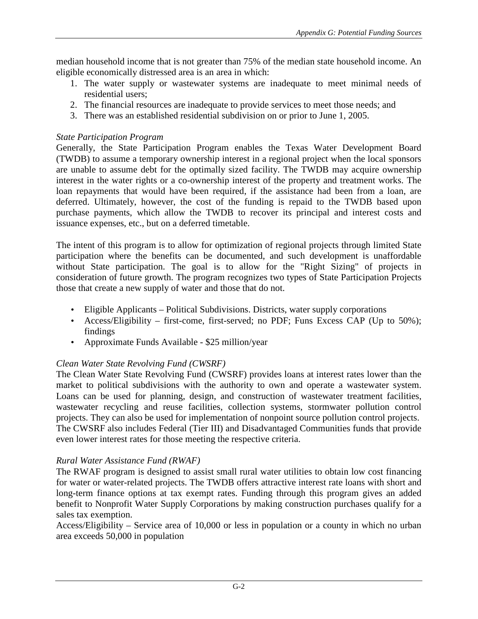median household income that is not greater than 75% of the median state household income. An eligible economically distressed area is an area in which:

- 1. The water supply or wastewater systems are inadequate to meet minimal needs of residential users;
- 2. The financial resources are inadequate to provide services to meet those needs; and
- 3. There was an established residential subdivision on or prior to June 1, 2005.

#### *State Participation Program*

Generally, the State Participation Program enables the Texas Water Development Board (TWDB) to assume a temporary ownership interest in a regional project when the local sponsors are unable to assume debt for the optimally sized facility. The TWDB may acquire ownership interest in the water rights or a co-ownership interest of the property and treatment works. The loan repayments that would have been required, if the assistance had been from a loan, are deferred. Ultimately, however, the cost of the funding is repaid to the TWDB based upon purchase payments, which allow the TWDB to recover its principal and interest costs and issuance expenses, etc., but on a deferred timetable.

The intent of this program is to allow for optimization of regional projects through limited State participation where the benefits can be documented, and such development is unaffordable without State participation. The goal is to allow for the "Right Sizing" of projects in consideration of future growth. The program recognizes two types of State Participation Projects those that create a new supply of water and those that do not.

- Eligible Applicants Political Subdivisions. Districts, water supply corporations
- Access/Eligibility first-come, first-served; no PDF; Funs Excess CAP (Up to 50%); findings
- Approximate Funds Available \$25 million/year

# *Clean Water State Revolving Fund (CWSRF)*

The Clean Water State Revolving Fund (CWSRF) provides loans at interest rates lower than the market to political subdivisions with the authority to own and operate a wastewater system. Loans can be used for planning, design, and construction of wastewater treatment facilities, wastewater recycling and reuse facilities, collection systems, stormwater pollution control projects. They can also be used for implementation of nonpoint source pollution control projects. The CWSRF also includes Federal (Tier III) and Disadvantaged Communities funds that provide even lower interest rates for those meeting the respective criteria.

# *Rural Water Assistance Fund (RWAF)*

The RWAF program is designed to assist small rural water utilities to obtain low cost financing for water or water-related projects. The TWDB offers attractive interest rate loans with short and long-term finance options at tax exempt rates. Funding through this program gives an added benefit to Nonprofit Water Supply Corporations by making construction purchases qualify for a sales tax exemption.

Access/Eligibility – Service area of 10,000 or less in population or a county in which no urban area exceeds 50,000 in population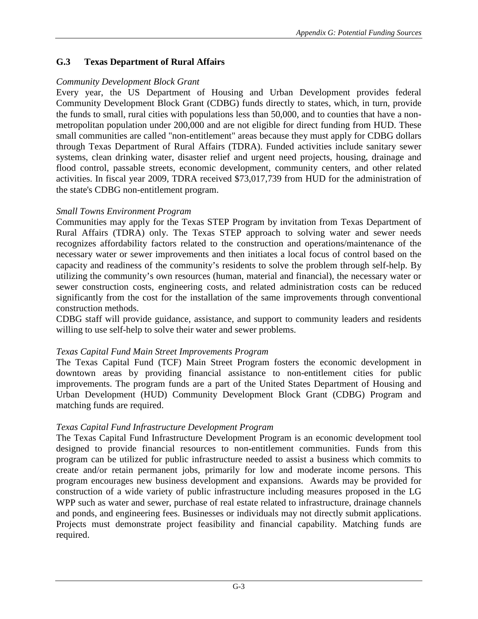# **G.3 Texas Department of Rural Affairs**

### *Community Development Block Grant*

Every year, the US Department of Housing and Urban Development provides federal Community Development Block Grant (CDBG) funds directly to states, which, in turn, provide the funds to small, rural cities with populations less than 50,000, and to counties that have a nonmetropolitan population under 200,000 and are not eligible for direct funding from HUD. These small communities are called "non-entitlement" areas because they must apply for CDBG dollars through Texas Department of Rural Affairs (TDRA). Funded activities include sanitary sewer systems, clean drinking water, disaster relief and urgent need projects, housing, drainage and flood control, passable streets, economic development, community centers, and other related activities. In fiscal year 2009, TDRA received \$73,017,739 from HUD for the administration of the state's CDBG non-entitlement program.

### *Small Towns Environment Program*

Communities may apply for the Texas STEP Program by invitation from Texas Department of Rural Affairs (TDRA) only. The Texas STEP approach to solving water and sewer needs recognizes affordability factors related to the construction and operations/maintenance of the necessary water or sewer improvements and then initiates a local focus of control based on the capacity and readiness of the community's residents to solve the problem through self-help. By utilizing the community's own resources (human, material and financial), the necessary water or sewer construction costs, engineering costs, and related administration costs can be reduced significantly from the cost for the installation of the same improvements through conventional construction methods.

CDBG staff will provide guidance, assistance, and support to community leaders and residents willing to use self-help to solve their water and sewer problems.

# *Texas Capital Fund Main Street Improvements Program*

The Texas Capital Fund (TCF) Main Street Program fosters the economic development in downtown areas by providing financial assistance to non-entitlement cities for public improvements. The program funds are a part of the United States Department of Housing and Urban Development (HUD) Community Development Block Grant (CDBG) Program and matching funds are required.

# *Texas Capital Fund Infrastructure Development Program*

The Texas Capital Fund Infrastructure Development Program is an economic development tool designed to provide financial resources to non-entitlement communities. Funds from this program can be utilized for public infrastructure needed to assist a business which commits to create and/or retain permanent jobs, primarily for low and moderate income persons. This program encourages new business development and expansions. Awards may be provided for construction of a wide variety of public infrastructure including measures proposed in the LG WPP such as water and sewer, purchase of real estate related to infrastructure, drainage channels and ponds, and engineering fees. Businesses or individuals may not directly submit applications. Projects must demonstrate project feasibility and financial capability. Matching funds are required.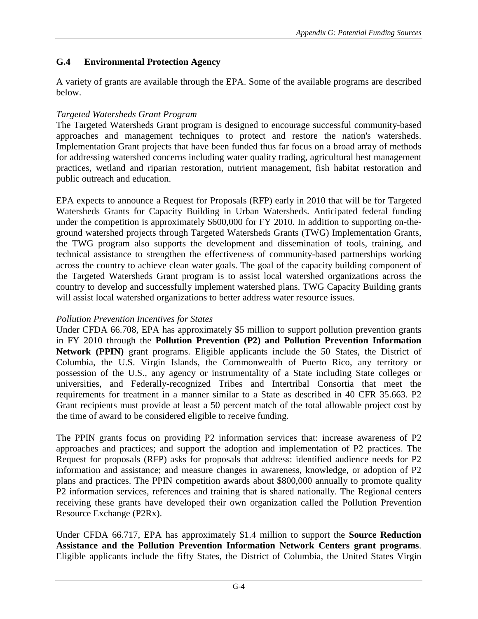# **G.4 Environmental Protection Agency**

A variety of grants are available through the EPA. Some of the available programs are described below.

# *Targeted Watersheds Grant Program*

The Targeted Watersheds Grant program is designed to encourage successful community-based approaches and management techniques to protect and restore the nation's watersheds. Implementation Grant projects that have been funded thus far focus on a broad array of methods for addressing watershed concerns including water quality trading, agricultural best management practices, wetland and riparian restoration, nutrient management, fish habitat restoration and public outreach and education.

EPA expects to announce a Request for Proposals (RFP) early in 2010 that will be for Targeted Watersheds Grants for Capacity Building in Urban Watersheds. Anticipated federal funding under the competition is approximately \$600,000 for FY 2010. In addition to supporting on-theground watershed projects through Targeted Watersheds Grants (TWG) Implementation Grants, the TWG program also supports the development and dissemination of tools, training, and technical assistance to strengthen the effectiveness of community-based partnerships working across the country to achieve clean water goals. The goal of the capacity building component of the Targeted Watersheds Grant program is to assist local watershed organizations across the country to develop and successfully implement watershed plans. TWG Capacity Building grants will assist local watershed organizations to better address water resource issues.

# *Pollution Prevention Incentives for States*

Under CFDA 66.708, EPA has approximately \$5 million to support pollution prevention grants in FY 2010 through the **Pollution Prevention (P2) and Pollution Prevention Information Network (PPIN)** grant programs. Eligible applicants include the 50 States, the District of Columbia, the U.S. Virgin Islands, the Commonwealth of Puerto Rico, any territory or possession of the U.S., any agency or instrumentality of a State including State colleges or universities, and Federally-recognized Tribes and Intertribal Consortia that meet the requirements for treatment in a manner similar to a State as described in 40 CFR 35.663. P2 Grant recipients must provide at least a 50 percent match of the total allowable project cost by the time of award to be considered eligible to receive funding.

The PPIN grants focus on providing P2 information services that: increase awareness of P2 approaches and practices; and support the adoption and implementation of P2 practices. The Request for proposals (RFP) asks for proposals that address: identified audience needs for P2 information and assistance; and measure changes in awareness, knowledge, or adoption of P2 plans and practices. The PPIN competition awards about \$800,000 annually to promote quality P2 information services, references and training that is shared nationally. The Regional centers receiving these grants have developed their own organization called the Pollution Prevention Resource Exchange (P2Rx).

Under CFDA 66.717, EPA has approximately \$1.4 million to support the **Source Reduction Assistance and the Pollution Prevention Information Network Centers grant programs**. Eligible applicants include the fifty States, the District of Columbia, the United States Virgin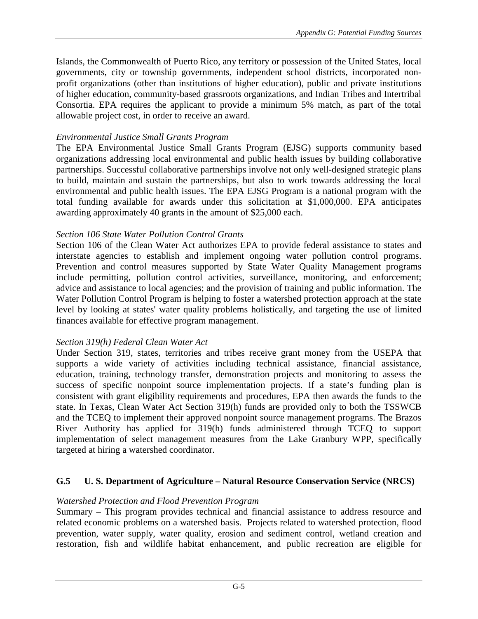Islands, the Commonwealth of Puerto Rico, any territory or possession of the United States, local governments, city or township governments, independent school districts, incorporated nonprofit organizations (other than institutions of higher education), public and private institutions of higher education, community-based grassroots organizations, and Indian Tribes and Intertribal Consortia. EPA requires the applicant to provide a minimum 5% match, as part of the total allowable project cost, in order to receive an award.

#### *Environmental Justice Small Grants Program*

The EPA Environmental Justice Small Grants Program (EJSG) supports community based organizations addressing local environmental and public health issues by building collaborative partnerships. Successful collaborative partnerships involve not only well-designed strategic plans to build, maintain and sustain the partnerships, but also to work towards addressing the local environmental and public health issues. The EPA EJSG Program is a national program with the total funding available for awards under this solicitation at \$1,000,000. EPA anticipates awarding approximately 40 grants in the amount of \$25,000 each.

#### *Section 106 State Water Pollution Control Grants*

Section 106 of the Clean Water Act authorizes EPA to provide federal assistance to states and interstate agencies to establish and implement ongoing water pollution control programs. Prevention and control measures supported by State Water Quality Management programs include permitting, pollution control activities, surveillance, monitoring, and enforcement; advice and assistance to local agencies; and the provision of training and public information. The Water Pollution Control Program is helping to foster a watershed protection approach at the state level by looking at states' water quality problems holistically, and targeting the use of limited finances available for effective program management.

#### *Section 319(h) Federal Clean Water Act*

Under Section 319, states, territories and tribes receive grant money from the USEPA that supports a wide variety of activities including technical assistance, financial assistance, education, training, technology transfer, demonstration projects and monitoring to assess the success of specific nonpoint source implementation projects. If a state's funding plan is consistent with grant eligibility requirements and procedures, EPA then awards the funds to the state. In Texas, Clean Water Act Section 319(h) funds are provided only to both the TSSWCB and the TCEQ to implement their approved nonpoint source management programs. The Brazos River Authority has applied for 319(h) funds administered through TCEQ to support implementation of select management measures from the Lake Granbury WPP, specifically targeted at hiring a watershed coordinator.

#### **G.5 U. S. Department of Agriculture – Natural Resource Conservation Service (NRCS)**

#### *Watershed Protection and Flood Prevention Program*

Summary – This program provides technical and financial assistance to address resource and related economic problems on a watershed basis. Projects related to watershed protection, flood prevention, water supply, water quality, erosion and sediment control, wetland creation and restoration, fish and wildlife habitat enhancement, and public recreation are eligible for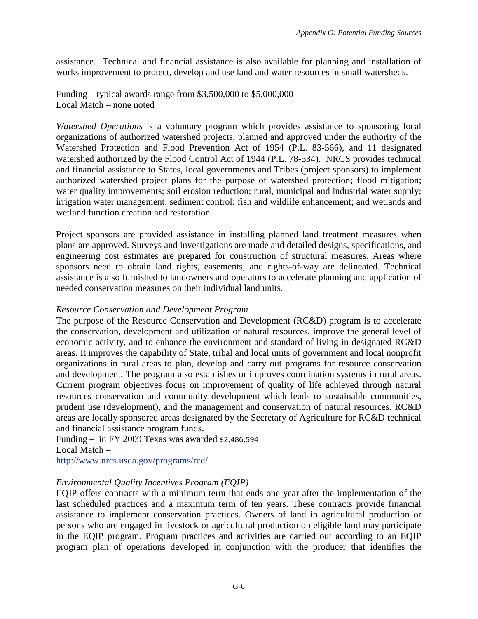assistance. Technical and financial assistance is also available for planning and installation of works improvement to protect, develop and use land and water resources in small watersheds.

Funding – typical awards range from \$3,500,000 to \$5,000,000 Local Match – none noted

*Watershed Operations* is a voluntary program which provides assistance to sponsoring local organizations of authorized watershed projects, planned and approved under the authority of the Watershed Protection and Flood Prevention Act of 1954 (P.L. 83-566), and 11 designated watershed authorized by the Flood Control Act of 1944 (P.L. 78-534). NRCS provides technical and financial assistance to States, local governments and Tribes (project sponsors) to implement authorized watershed project plans for the purpose of watershed protection; flood mitigation; water quality improvements; soil erosion reduction; rural, municipal and industrial water supply; irrigation water management; sediment control; fish and wildlife enhancement; and wetlands and wetland function creation and restoration.

Project sponsors are provided assistance in installing planned land treatment measures when plans are approved. Surveys and investigations are made and detailed designs, specifications, and engineering cost estimates are prepared for construction of structural measures. Areas where sponsors need to obtain land rights, easements, and rights-of-way are delineated. Technical assistance is also furnished to landowners and operators to accelerate planning and application of needed conservation measures on their individual land units.

#### *Resource Conservation and Development Program*

The purpose of the Resource Conservation and Development (RC&D) program is to accelerate the conservation, development and utilization of natural resources, improve the general level of economic activity, and to enhance the environment and standard of living in designated RC&D areas. It improves the capability of State, tribal and local units of government and local nonprofit organizations in rural areas to plan, develop and carry out programs for resource conservation and development. The program also establishes or improves coordination systems in rural areas. Current program objectives focus on improvement of quality of life achieved through natural resources conservation and community development which leads to sustainable communities, prudent use (development), and the management and conservation of natural resources. RC&D areas are locally sponsored areas designated by the Secretary of Agriculture for RC&D technical and financial assistance program funds.

Funding – in FY 2009 Texas was awarded \$2,486,594 Local Match –

http://www.nrcs.usda.gov/programs/rcd/

# *Environmental Quality Incentives Program (EQIP)*

EQIP offers contracts with a minimum term that ends one year after the implementation of the last scheduled practices and a maximum term of ten years. These contracts provide financial assistance to implement conservation practices. Owners of land in agricultural production or persons who are engaged in livestock or agricultural production on eligible land may participate in the EQIP program. Program practices and activities are carried out according to an EQIP program plan of operations developed in conjunction with the producer that identifies the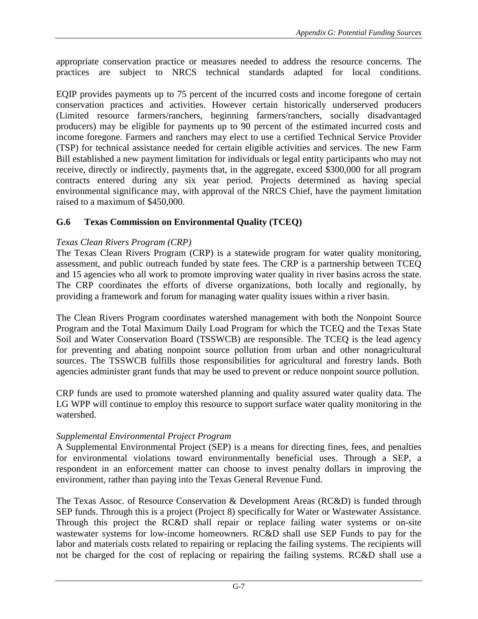appropriate conservation practice or measures needed to address the resource concerns. The practices are subject to NRCS technical standards adapted for local conditions.

EQIP provides payments up to 75 percent of the incurred costs and income foregone of certain conservation practices and activities. However certain historically underserved producers (Limited resource farmers/ranchers, beginning farmers/ranchers, socially disadvantaged producers) may be eligible for payments up to 90 percent of the estimated incurred costs and income foregone. Farmers and ranchers may elect to use a certified Technical Service Provider (TSP) for technical assistance needed for certain eligible activities and services. The new Farm Bill established a new payment limitation for individuals or legal entity participants who may not receive, directly or indirectly, payments that, in the aggregate, exceed \$300,000 for all program contracts entered during any six year period. Projects determined as having special environmental significance may, with approval of the NRCS Chief, have the payment limitation raised to a maximum of \$450,000.

# **G.6 Texas Commission on Environmental Quality (TCEQ)**

# *Texas Clean Rivers Program (CRP)*

The Texas Clean Rivers Program (CRP) is a statewide program for water quality monitoring, assessment, and public outreach funded by state fees. The CRP is a partnership between TCEQ and 15 agencies who all work to promote improving water quality in river basins across the state. The CRP coordinates the efforts of diverse organizations, both locally and regionally, by providing a framework and forum for managing water quality issues within a river basin.

The Clean Rivers Program coordinates watershed management with both the Nonpoint Source Program and the Total Maximum Daily Load Program for which the TCEQ and the Texas State Soil and Water Conservation Board (TSSWCB) are responsible. The TCEQ is the lead agency for preventing and abating nonpoint source pollution from urban and other nonagricultural sources. The TSSWCB fulfills those responsibilities for agricultural and forestry lands. Both agencies administer grant funds that may be used to prevent or reduce nonpoint source pollution.

CRP funds are used to promote watershed planning and quality assured water quality data. The LG WPP will continue to employ this resource to support surface water quality monitoring in the watershed.

# *Supplemental Environmental Project Program*

A Supplemental Environmental Project (SEP) is a means for directing fines, fees, and penalties for environmental violations toward environmentally beneficial uses. Through a SEP, a respondent in an enforcement matter can choose to invest penalty dollars in improving the environment, rather than paying into the Texas General Revenue Fund.

The Texas Assoc. of Resource Conservation & Development Areas (RC&D) is funded through SEP funds. Through this is a project (Project 8) specifically for Water or Wastewater Assistance. Through this project the RC&D shall repair or replace failing water systems or on-site wastewater systems for low-income homeowners. RC&D shall use SEP Funds to pay for the labor and materials costs related to repairing or replacing the failing systems. The recipients will not be charged for the cost of replacing or repairing the failing systems. RC&D shall use a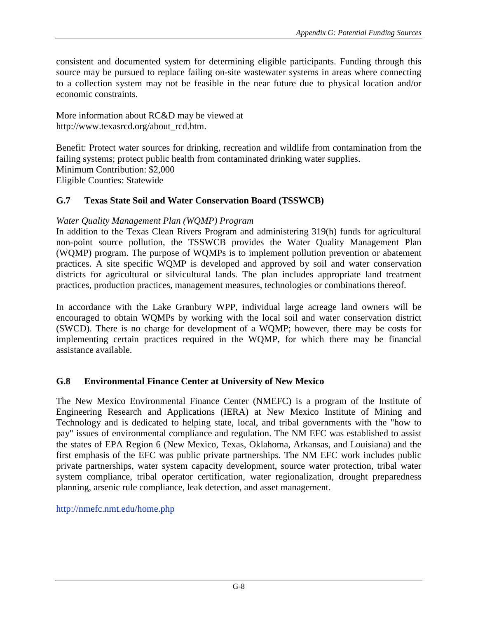consistent and documented system for determining eligible participants. Funding through this source may be pursued to replace failing on-site wastewater systems in areas where connecting to a collection system may not be feasible in the near future due to physical location and/or economic constraints.

More information about RC&D may be viewed at http://www.texasrcd.org/about\_rcd.htm.

Benefit: Protect water sources for drinking, recreation and wildlife from contamination from the failing systems; protect public health from contaminated drinking water supplies. Minimum Contribution: \$2,000 Eligible Counties: Statewide

### **G.7 Texas State Soil and Water Conservation Board (TSSWCB)**

#### *Water Quality Management Plan (WQMP) Program*

In addition to the Texas Clean Rivers Program and administering 319(h) funds for agricultural non-point source pollution, the TSSWCB provides the Water Quality Management Plan (WQMP) program. The purpose of WQMPs is to implement pollution prevention or abatement practices. A site specific WQMP is developed and approved by soil and water conservation districts for agricultural or silvicultural lands. The plan includes appropriate land treatment practices, production practices, management measures, technologies or combinations thereof.

In accordance with the Lake Granbury WPP, individual large acreage land owners will be encouraged to obtain WQMPs by working with the local soil and water conservation district (SWCD). There is no charge for development of a WQMP; however, there may be costs for implementing certain practices required in the WQMP, for which there may be financial assistance available.

#### **G.8 Environmental Finance Center at University of New Mexico**

The New Mexico Environmental Finance Center (NMEFC) is a program of the Institute of Engineering Research and Applications (IERA) at New Mexico Institute of Mining and Technology and is dedicated to helping state, local, and tribal governments with the "how to pay" issues of environmental compliance and regulation. The NM EFC was established to assist the states of EPA Region 6 (New Mexico, Texas, Oklahoma, Arkansas, and Louisiana) and the first emphasis of the EFC was public private partnerships. The NM EFC work includes public private partnerships, water system capacity development, source water protection, tribal water system compliance, tribal operator certification, water regionalization, drought preparedness planning, arsenic rule compliance, leak detection, and asset management.

http://nmefc.nmt.edu/home.php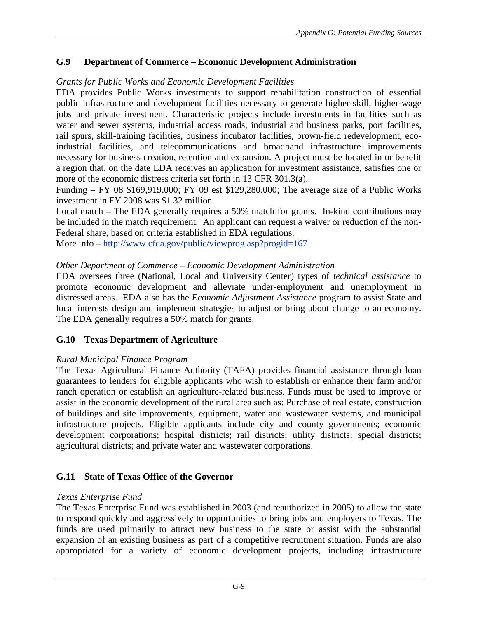# **G.9 Department of Commerce – Economic Development Administration**

#### *Grants for Public Works and Economic Development Facilities*

EDA provides Public Works investments to support rehabilitation construction of essential public infrastructure and development facilities necessary to generate higher-skill, higher-wage jobs and private investment. Characteristic projects include investments in facilities such as water and sewer systems, industrial access roads, industrial and business parks, port facilities, rail spurs, skill-training facilities, business incubator facilities, brown-field redevelopment, ecoindustrial facilities, and telecommunications and broadband infrastructure improvements necessary for business creation, retention and expansion. A project must be located in or benefit a region that, on the date EDA receives an application for investment assistance, satisfies one or more of the economic distress criteria set forth in 13 CFR 301.3(a).

Funding – FY 08 \$169,919,000; FY 09 est \$129,280,000; The average size of a Public Works investment in FY 2008 was \$1.32 million.

Local match – The EDA generally requires a 50% match for grants. In-kind contributions may be included in the match requirement. An applicant can request a waiver or reduction of the non-Federal share, based on criteria established in EDA regulations.

More info – http://www.cfda.gov/public/viewprog.asp?progid=167

### *Other Department of Commerce – Economic Development Administration*

EDA oversees three (National, Local and University Center) types of *technical assistance* to promote economic development and alleviate under-employment and unemployment in distressed areas. EDA also has the *Economic Adjustment Assistance* program to assist State and local interests design and implement strategies to adjust or bring about change to an economy. The EDA generally requires a 50% match for grants.

# **G.10 Texas Department of Agriculture**

#### *Rural Municipal Finance Program*

The Texas Agricultural Finance Authority (TAFA) provides financial assistance through loan guarantees to lenders for eligible applicants who wish to establish or enhance their farm and/or ranch operation or establish an agriculture-related business. Funds must be used to improve or assist in the economic development of the rural area such as: Purchase of real estate, construction of buildings and site improvements, equipment, water and wastewater systems, and municipal infrastructure projects. Eligible applicants include city and county governments; economic development corporations; hospital districts; rail districts; utility districts; special districts; agricultural districts; and private water and wastewater corporations.

# **G.11 State of Texas Office of the Governor**

# *Texas Enterprise Fund*

The Texas Enterprise Fund was established in 2003 (and reauthorized in 2005) to allow the state to respond quickly and aggressively to opportunities to bring jobs and employers to Texas. The funds are used primarily to attract new business to the state or assist with the substantial expansion of an existing business as part of a competitive recruitment situation. Funds are also appropriated for a variety of economic development projects, including infrastructure